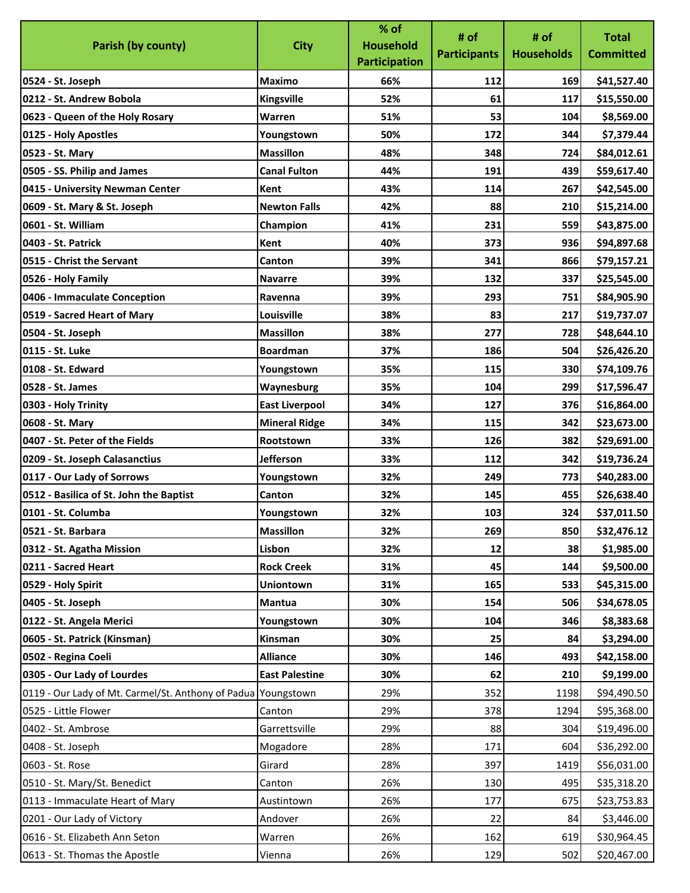|                                                               |                       | % of                 | # of                | # of              | <b>Total</b>     |
|---------------------------------------------------------------|-----------------------|----------------------|---------------------|-------------------|------------------|
| Parish (by county)                                            | <b>City</b>           | <b>Household</b>     | <b>Participants</b> | <b>Households</b> | <b>Committed</b> |
|                                                               |                       | <b>Participation</b> |                     |                   |                  |
| 0524 - St. Joseph                                             | Maximo                | 66%                  | 112                 | 169               | \$41,527.40      |
| 0212 - St. Andrew Bobola                                      | Kingsville            | 52%                  | 61                  | 117               | \$15,550.00      |
| 0623 - Queen of the Holy Rosary                               | Warren                | 51%                  | 53                  | 104               | \$8,569.00       |
| 0125 - Holy Apostles                                          | Youngstown            | 50%                  | 172                 | 344               | \$7,379.44       |
| 0523 - St. Mary                                               | <b>Massillon</b>      | 48%                  | 348                 | 724               | \$84,012.61      |
| 0505 - SS. Philip and James                                   | <b>Canal Fulton</b>   | 44%                  | 191                 | 439               | \$59,617.40      |
| 0415 - University Newman Center                               | Kent                  | 43%                  | 114                 | 267               | \$42,545.00      |
| 0609 - St. Mary & St. Joseph                                  | <b>Newton Falls</b>   | 42%                  | 88                  | 210               | \$15,214.00      |
| 0601 - St. William                                            | Champion              | 41%                  | 231                 | 559               | \$43,875.00      |
| 0403 - St. Patrick                                            | Kent                  | 40%                  | 373                 | 936               | \$94,897.68      |
| 0515 - Christ the Servant                                     | Canton                | 39%                  | 341                 | 866               | \$79,157.21      |
| 0526 - Holy Family                                            | <b>Navarre</b>        | 39%                  | 132                 | 337               | \$25,545.00      |
| 0406 - Immaculate Conception                                  | Ravenna               | 39%                  | 293                 | 751               | \$84,905.90      |
| 0519 - Sacred Heart of Mary                                   | Louisville            | 38%                  | 83                  | 217               | \$19,737.07      |
| 0504 - St. Joseph                                             | <b>Massillon</b>      | 38%                  | 277                 | 728               | \$48,644.10      |
| 0115 - St. Luke                                               | <b>Boardman</b>       | 37%                  | 186                 | 504               | \$26,426.20      |
| 0108 - St. Edward                                             | Youngstown            | 35%                  | 115                 | 330               | \$74,109.76      |
| 0528 - St. James                                              | Waynesburg            | 35%                  | 104                 | 299               | \$17,596.47      |
| 0303 - Holy Trinity                                           | <b>East Liverpool</b> | 34%                  | 127                 | 376               | \$16,864.00      |
| 0608 - St. Mary                                               | <b>Mineral Ridge</b>  | 34%                  | 115                 | 342               | \$23,673.00      |
| 0407 - St. Peter of the Fields                                | Rootstown             | 33%                  | 126                 | 382               | \$29,691.00      |
| 0209 - St. Joseph Calasanctius                                | <b>Jefferson</b>      | 33%                  | 112                 | 342               | \$19,736.24      |
| 0117 - Our Lady of Sorrows                                    | Youngstown            | 32%                  | 249                 | 773               | \$40,283.00      |
| 0512 - Basilica of St. John the Baptist                       | Canton                | 32%                  | 145                 | 455               | \$26,638.40      |
| 0101 - St. Columba                                            | Youngstown            | 32%                  | 103                 | 324               | \$37,011.50      |
| 0521 - St. Barbara                                            | <b>Massillon</b>      | 32%                  | 269                 | 850               | \$32,476.12      |
| 0312 - St. Agatha Mission                                     | Lisbon                | 32%                  | 12                  | 38                | \$1,985.00       |
| 0211 - Sacred Heart                                           | <b>Rock Creek</b>     | 31%                  | 45                  | 144               | \$9,500.00       |
| 0529 - Holy Spirit                                            | <b>Uniontown</b>      | 31%                  | 165                 | 533               | \$45,315.00      |
| 0405 - St. Joseph                                             | Mantua                | 30%                  | 154                 | 506               | \$34,678.05      |
| 0122 - St. Angela Merici                                      | Youngstown            | 30%                  | 104                 | 346               | \$8,383.68       |
| 0605 - St. Patrick (Kinsman)                                  | Kinsman               | 30%                  | 25                  | 84                | \$3,294.00       |
| 0502 - Regina Coeli                                           | <b>Alliance</b>       | 30%                  | 146                 | 493               | \$42,158.00      |
| 0305 - Our Lady of Lourdes                                    | <b>East Palestine</b> | 30%                  | 62                  | 210               | \$9,199.00       |
| 0119 - Our Lady of Mt. Carmel/St. Anthony of Padua Youngstown |                       | 29%                  | 352                 | 1198              | \$94,490.50      |
| 0525 - Little Flower                                          | Canton                | 29%                  | 378                 | 1294              | \$95,368.00      |
| 0402 - St. Ambrose                                            | Garrettsville         | 29%                  | 88                  | 304               | \$19,496.00      |
| 0408 - St. Joseph                                             | Mogadore              | 28%                  | 171                 | 604               | \$36,292.00      |
| 0603 - St. Rose                                               | Girard                | 28%                  | 397                 | 1419              | \$56,031.00      |
| 0510 - St. Mary/St. Benedict                                  | Canton                | 26%                  | 130                 | 495               | \$35,318.20      |
| 0113 - Immaculate Heart of Mary                               | Austintown            | 26%                  | 177                 | 675               | \$23,753.83      |
| 0201 - Our Lady of Victory                                    | Andover               | 26%                  | 22                  | 84                | \$3,446.00       |
| 0616 - St. Elizabeth Ann Seton                                | Warren                | 26%                  | 162                 | 619               | \$30,964.45      |
| 0613 - St. Thomas the Apostle                                 | Vienna                | 26%                  | 129                 | 502               | \$20,467.00      |
|                                                               |                       |                      |                     |                   |                  |